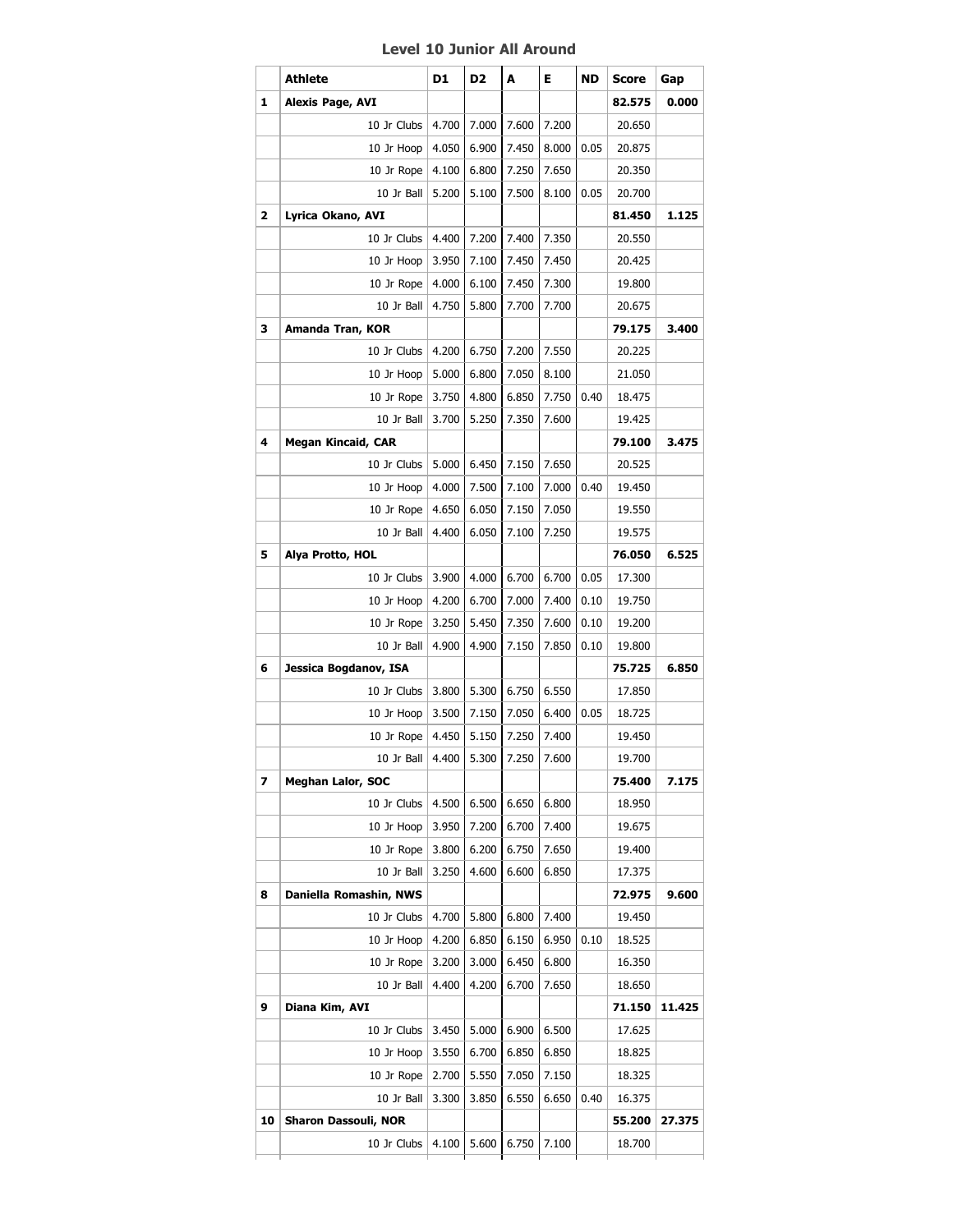## **Level 10 Junior All Around**

|    | <b>Athlete</b>              | D1    | D2    | A     | Е     | ND   | <b>Score</b> | Gap    |
|----|-----------------------------|-------|-------|-------|-------|------|--------------|--------|
| 1  | Alexis Page, AVI            |       |       |       |       |      | 82.575       | 0.000  |
|    | 10 Jr Clubs                 | 4.700 | 7.000 | 7.600 | 7.200 |      | 20.650       |        |
|    | 10 Jr Hoop                  | 4.050 | 6.900 | 7.450 | 8.000 | 0.05 | 20.875       |        |
|    | 10 Jr Rope                  | 4.100 | 6.800 | 7.250 | 7.650 |      | 20.350       |        |
|    | 10 Jr Ball                  | 5.200 | 5.100 | 7.500 | 8.100 | 0.05 | 20.700       |        |
| 2  | Lyrica Okano, AVI           |       |       |       |       |      | 81.450       | 1.125  |
|    | 10 Jr Clubs                 | 4.400 | 7.200 | 7.400 | 7.350 |      | 20.550       |        |
|    | 10 Jr Hoop                  | 3.950 | 7.100 | 7.450 | 7.450 |      | 20.425       |        |
|    | 10 Jr Rope                  | 4.000 | 6.100 | 7.450 | 7.300 |      | 19.800       |        |
|    | 10 Jr Ball                  | 4.750 | 5.800 | 7.700 | 7.700 |      | 20.675       |        |
| з  | Amanda Tran, KOR            |       |       |       |       |      | 79.175       | 3.400  |
|    | 10 Jr Clubs                 | 4.200 | 6.750 | 7.200 | 7.550 |      | 20.225       |        |
|    | 10 Jr Hoop                  | 5.000 | 6.800 | 7.050 | 8.100 |      | 21.050       |        |
|    | 10 Jr Rope                  | 3.750 | 4.800 | 6.850 | 7.750 | 0.40 | 18.475       |        |
|    | 10 Jr Ball                  | 3.700 | 5.250 | 7.350 | 7.600 |      | 19.425       |        |
| 4  | <b>Megan Kincaid, CAR</b>   |       |       |       |       |      | 79.100       | 3.475  |
|    | 10 Jr Clubs                 | 5.000 | 6.450 | 7.150 | 7.650 |      | 20.525       |        |
|    | 10 Jr Hoop                  | 4.000 | 7.500 | 7.100 | 7.000 | 0.40 | 19.450       |        |
|    | 10 Jr Rope                  | 4.650 | 6.050 | 7.150 | 7.050 |      | 19.550       |        |
|    | 10 Jr Ball                  | 4.400 | 6.050 | 7.100 | 7.250 |      | 19.575       |        |
| 5  | Alya Protto, HOL            |       |       |       |       |      | 76.050       | 6.525  |
|    | 10 Jr Clubs                 | 3.900 | 4.000 | 6.700 | 6.700 | 0.05 | 17.300       |        |
|    | 10 Jr Hoop                  | 4.200 | 6.700 | 7.000 | 7.400 | 0.10 | 19.750       |        |
|    | 10 Jr Rope                  | 3.250 | 5.450 | 7.350 | 7.600 | 0.10 | 19.200       |        |
|    | 10 Jr Ball                  | 4.900 | 4.900 | 7.150 | 7.850 | 0.10 | 19.800       |        |
| 6  | Jessica Bogdanov, ISA       |       |       |       |       |      | 75.725       | 6.850  |
|    | 10 Jr Clubs                 | 3.800 | 5.300 | 6.750 | 6.550 |      | 17.850       |        |
|    | 10 Jr Hoop                  | 3.500 | 7.150 | 7.050 | 6.400 | 0.05 | 18.725       |        |
|    | 10 Jr Rope                  | 4.450 | 5.150 | 7.250 | 7.400 |      | 19.450       |        |
|    | 10 Jr Ball                  | 4.400 | 5.300 | 7.250 | 7.600 |      | 19.700       |        |
| 7  | Meghan Lalor, SOC           |       |       |       |       |      | 75.400       | 7.175  |
|    | 10 Jr Clubs                 | 4.500 | 6.500 | 6.650 | 6.800 |      | 18.950       |        |
|    | 10 Jr Hoop                  | 3.950 | 7.200 | 6.700 | 7.400 |      | 19.675       |        |
|    | 10 Jr Rope                  | 3.800 | 6.200 | 6.750 | 7.650 |      | 19.400       |        |
|    | 10 Jr Ball                  | 3.250 | 4.600 | 6.600 | 6.850 |      | 17.375       |        |
| 8  | Daniella Romashin, NWS      |       |       |       |       |      | 72.975       | 9.600  |
|    | 10 Jr Clubs                 | 4.700 | 5.800 | 6.800 | 7.400 |      | 19.450       |        |
|    | 10 Jr Hoop                  | 4.200 | 6.850 | 6.150 | 6.950 | 0.10 | 18.525       |        |
|    | 10 Jr Rope                  | 3.200 | 3.000 | 6.450 | 6.800 |      | 16.350       |        |
|    | 10 Jr Ball                  | 4.400 | 4.200 | 6.700 | 7.650 |      | 18.650       |        |
| 9  | Diana Kim, AVI              |       |       |       |       |      | 71.150       | 11.425 |
|    | 10 Jr Clubs                 | 3.450 | 5.000 | 6.900 | 6.500 |      | 17.625       |        |
|    | 10 Jr Hoop                  | 3.550 | 6.700 | 6.850 | 6.850 |      | 18.825       |        |
|    | 10 Jr Rope                  | 2.700 | 5.550 | 7.050 | 7.150 |      | 18.325       |        |
|    | 10 Jr Ball                  | 3.300 | 3.850 | 6.550 | 6.650 | 0.40 | 16.375       |        |
| 10 | <b>Sharon Dassouli, NOR</b> |       |       |       |       |      | 55.200       | 27.375 |
|    | 10 Jr Clubs                 | 4.100 | 5.600 | 6.750 | 7.100 |      | 18.700       |        |